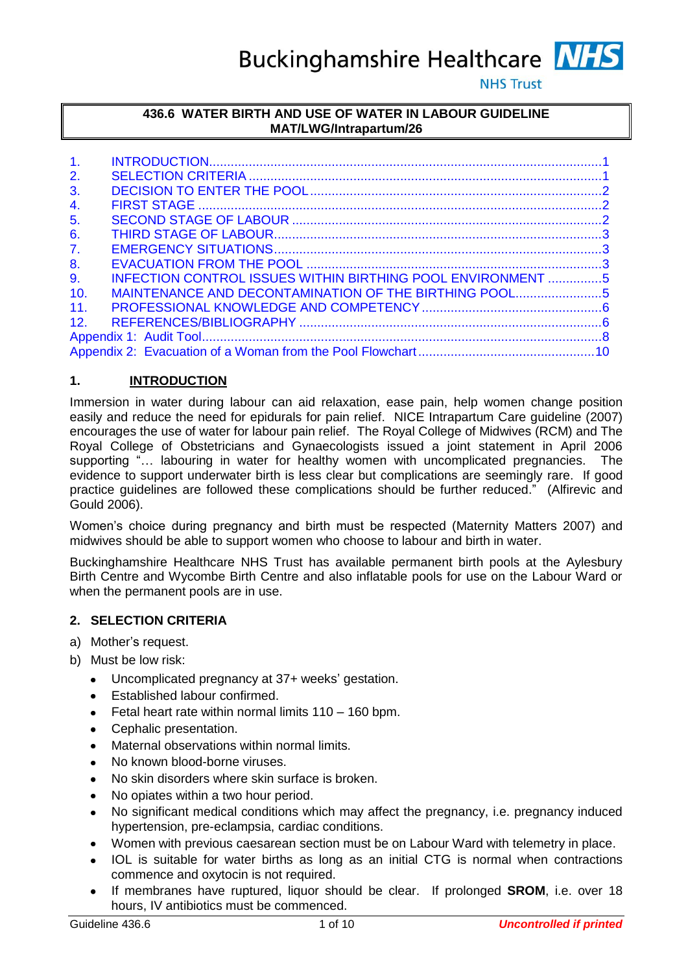**Buckinghamshire Healthcare NHS** 

**NHS Trust** 

## **436.6 WATER BIRTH AND USE OF WATER IN LABOUR GUIDELINE MAT/LWG/Intrapartum/26**

| 1 <sub>1</sub> |                                                             |  |  |
|----------------|-------------------------------------------------------------|--|--|
| 2.             |                                                             |  |  |
| 3.             |                                                             |  |  |
| 4.             |                                                             |  |  |
| 5.             |                                                             |  |  |
| 6.             |                                                             |  |  |
| 7 <sub>1</sub> |                                                             |  |  |
| 8.             |                                                             |  |  |
| 9 <sub>1</sub> | INFECTION CONTROL ISSUES WITHIN BIRTHING POOL ENVIRONMENT 5 |  |  |
| 10.            | MAINTENANCE AND DECONTAMINATION OF THE BIRTHING POOL5       |  |  |
| 11.            |                                                             |  |  |
| 12.            |                                                             |  |  |
|                |                                                             |  |  |
|                |                                                             |  |  |

# <span id="page-0-0"></span>**1. INTRODUCTION**

Immersion in water during labour can aid relaxation, ease pain, help women change position easily and reduce the need for epidurals for pain relief. NICE Intrapartum Care guideline (2007) encourages the use of water for labour pain relief. The Royal College of Midwives (RCM) and The Royal College of Obstetricians and Gynaecologists issued a joint statement in April 2006 supporting "... labouring in water for healthy women with uncomplicated pregnancies. The evidence to support underwater birth is less clear but complications are seemingly rare. If good practice guidelines are followed these complications should be further reduced." (Alfirevic and Gould 2006).

Women"s choice during pregnancy and birth must be respected (Maternity Matters 2007) and midwives should be able to support women who choose to labour and birth in water.

Buckinghamshire Healthcare NHS Trust has available permanent birth pools at the Aylesbury Birth Centre and Wycombe Birth Centre and also inflatable pools for use on the Labour Ward or when the permanent pools are in use.

# <span id="page-0-1"></span>**2. SELECTION CRITERIA**

- a) Mother's request.
- b) Must be low risk:
	- Uncomplicated pregnancy at 37+ weeks' gestation.
	- Established labour confirmed.
	- Fetal heart rate within normal limits 110 160 bpm.
	- Cephalic presentation.
	- Maternal observations within normal limits.
	- No known blood-borne viruses.
	- No skin disorders where skin surface is broken.
	- No opiates within a two hour period.
	- No significant medical conditions which may affect the pregnancy, i.e. pregnancy induced hypertension, pre-eclampsia, cardiac conditions.
	- Women with previous caesarean section must be on Labour Ward with telemetry in place.
	- IOL is suitable for water births as long as an initial CTG is normal when contractions commence and oxytocin is not required.
	- If membranes have ruptured, liquor should be clear. If prolonged **SROM**, i.e. over 18 hours, IV antibiotics must be commenced.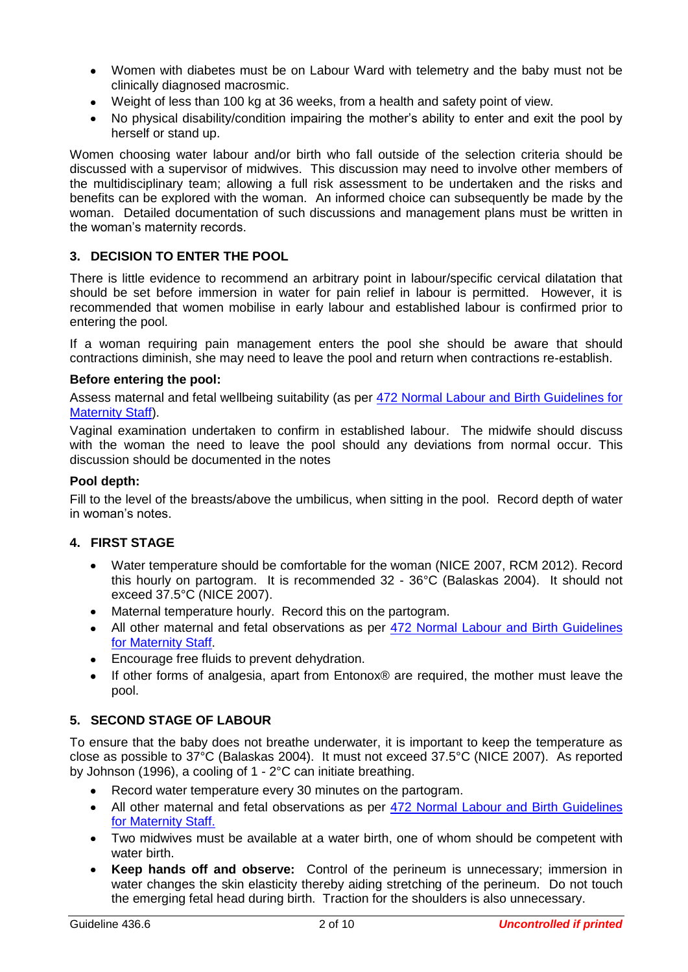- Women with diabetes must be on Labour Ward with telemetry and the baby must not be clinically diagnosed macrosmic.
- Weight of less than 100 kg at 36 weeks, from a health and safety point of view.
- No physical disability/condition impairing the mother"s ability to enter and exit the pool by herself or stand up.

Women choosing water labour and/or birth who fall outside of the selection criteria should be discussed with a supervisor of midwives. This discussion may need to involve other members of the multidisciplinary team; allowing a full risk assessment to be undertaken and the risks and benefits can be explored with the woman. An informed choice can subsequently be made by the woman. Detailed documentation of such discussions and management plans must be written in the woman"s maternity records.

# <span id="page-1-0"></span>**3. DECISION TO ENTER THE POOL**

There is little evidence to recommend an arbitrary point in labour/specific cervical dilatation that should be set before immersion in water for pain relief in labour is permitted. However, it is recommended that women mobilise in early labour and established labour is confirmed prior to entering the pool.

If a woman requiring pain management enters the pool she should be aware that should contractions diminish, she may need to leave the pool and return when contractions re-establish.

## **Before entering the pool:**

Assess maternal and fetal wellbeing suitability (as per [472 Normal Labour and Birth Guidelines for](http://swanlive/sites/default/files/guideline_472.pdf)  [Maternity Staff\)](http://swanlive/sites/default/files/guideline_472.pdf).

Vaginal examination undertaken to confirm in established labour. The midwife should discuss with the woman the need to leave the pool should any deviations from normal occur. This discussion should be documented in the notes

#### **Pool depth:**

Fill to the level of the breasts/above the umbilicus, when sitting in the pool. Record depth of water in woman"s notes.

#### <span id="page-1-1"></span>**4. FIRST STAGE**

- Water temperature should be comfortable for the woman (NICE 2007, RCM 2012). Record this hourly on partogram. It is recommended 32 - 36°C (Balaskas 2004). It should not exceed 37.5°C (NICE 2007).
- Maternal temperature hourly. Record this on the partogram.
- All other maternal and fetal observations as per [472 Normal Labour and Birth Guidelines](http://swanlive/sites/default/files/guideline_472.pdf)  [for Maternity Staff.](http://swanlive/sites/default/files/guideline_472.pdf)
- Encourage free fluids to prevent dehydration.
- If other forms of analgesia, apart from Entonox® are required, the mother must leave the pool.

# <span id="page-1-2"></span>**5. SECOND STAGE OF LABOUR**

To ensure that the baby does not breathe underwater, it is important to keep the temperature as close as possible to 37°C (Balaskas 2004). It must not exceed 37.5°C (NICE 2007). As reported by Johnson (1996), a cooling of 1 - 2°C can initiate breathing.

- Record water temperature every 30 minutes on the partogram.
- All other maternal and fetal observations as per [472 Normal Labour and Birth Guidelines](http://swanlive/sites/default/files/guideline_472.pdf)  [for Maternity Staff.](http://swanlive/sites/default/files/guideline_472.pdf)
- Two midwives must be available at a water birth, one of whom should be competent with  $\bullet$ water birth.
- **Keep hands off and observe:** Control of the perineum is unnecessary; immersion in water changes the skin elasticity thereby aiding stretching of the perineum. Do not touch the emerging fetal head during birth. Traction for the shoulders is also unnecessary.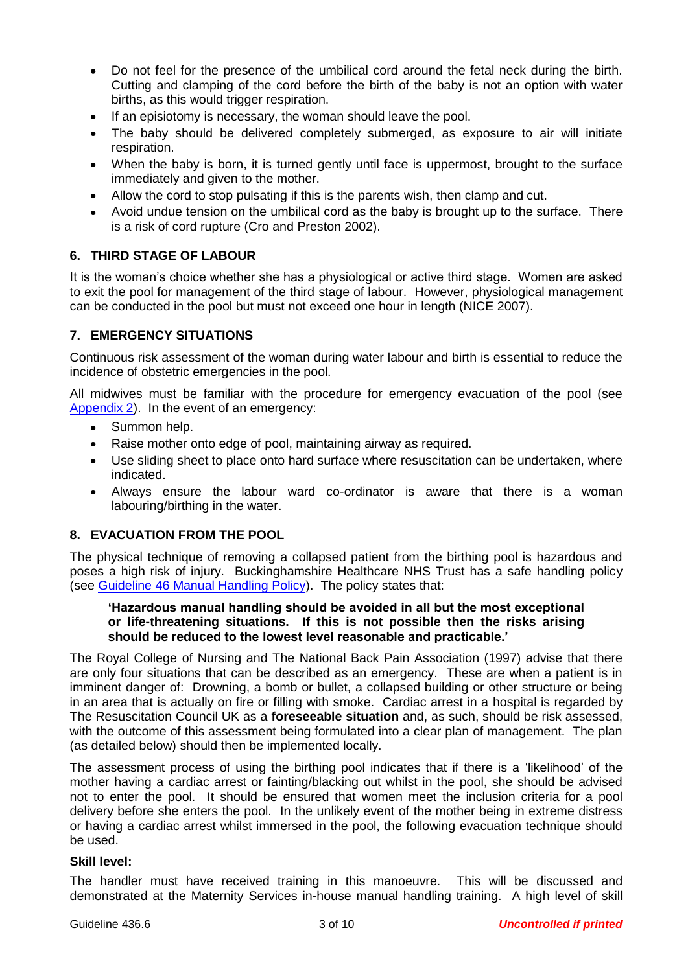- Do not feel for the presence of the umbilical cord around the fetal neck during the birth. Cutting and clamping of the cord before the birth of the baby is not an option with water births, as this would trigger respiration.
- If an episiotomy is necessary, the woman should leave the pool.
- The baby should be delivered completely submerged, as exposure to air will initiate respiration.
- When the baby is born, it is turned gently until face is uppermost, brought to the surface immediately and given to the mother.
- Allow the cord to stop pulsating if this is the parents wish, then clamp and cut.
- Avoid undue tension on the umbilical cord as the baby is brought up to the surface. There is a risk of cord rupture (Cro and Preston 2002).

# <span id="page-2-0"></span>**6. THIRD STAGE OF LABOUR**

It is the woman"s choice whether she has a physiological or active third stage. Women are asked to exit the pool for management of the third stage of labour. However, physiological management can be conducted in the pool but must not exceed one hour in length (NICE 2007).

#### <span id="page-2-1"></span>**7. EMERGENCY SITUATIONS**

Continuous risk assessment of the woman during water labour and birth is essential to reduce the incidence of obstetric emergencies in the pool.

All midwives must be familiar with the procedure for emergency evacuation of the pool (see [Appendix 2\)](#page-9-1). In the event of an emergency:

- Summon help.
- Raise mother onto edge of pool, maintaining airway as required.
- Use sliding sheet to place onto hard surface where resuscitation can be undertaken, where  $\bullet$ indicated.
- Always ensure the labour ward co-ordinator is aware that there is a woman labouring/birthing in the water.

#### <span id="page-2-2"></span>**8. EVACUATION FROM THE POOL**

The physical technique of removing a collapsed patient from the birthing pool is hazardous and poses a high risk of injury. Buckinghamshire Healthcare NHS Trust has a safe handling policy (see [Guideline 46 Manual Handling Policy\)](http://swanlive/sites/default/files/guideline_46.pdf). The policy states that:

#### **'Hazardous manual handling should be avoided in all but the most exceptional or life-threatening situations. If this is not possible then the risks arising should be reduced to the lowest level reasonable and practicable.'**

The Royal College of Nursing and The National Back Pain Association (1997) advise that there are only four situations that can be described as an emergency. These are when a patient is in imminent danger of: Drowning, a bomb or bullet, a collapsed building or other structure or being in an area that is actually on fire or filling with smoke. Cardiac arrest in a hospital is regarded by The Resuscitation Council UK as a **foreseeable situation** and, as such, should be risk assessed, with the outcome of this assessment being formulated into a clear plan of management. The plan (as detailed below) should then be implemented locally.

The assessment process of using the birthing pool indicates that if there is a "likelihood" of the mother having a cardiac arrest or fainting/blacking out whilst in the pool, she should be advised not to enter the pool. It should be ensured that women meet the inclusion criteria for a pool delivery before she enters the pool. In the unlikely event of the mother being in extreme distress or having a cardiac arrest whilst immersed in the pool, the following evacuation technique should be used.

#### **Skill level:**

The handler must have received training in this manoeuvre. This will be discussed and demonstrated at the Maternity Services in-house manual handling training. A high level of skill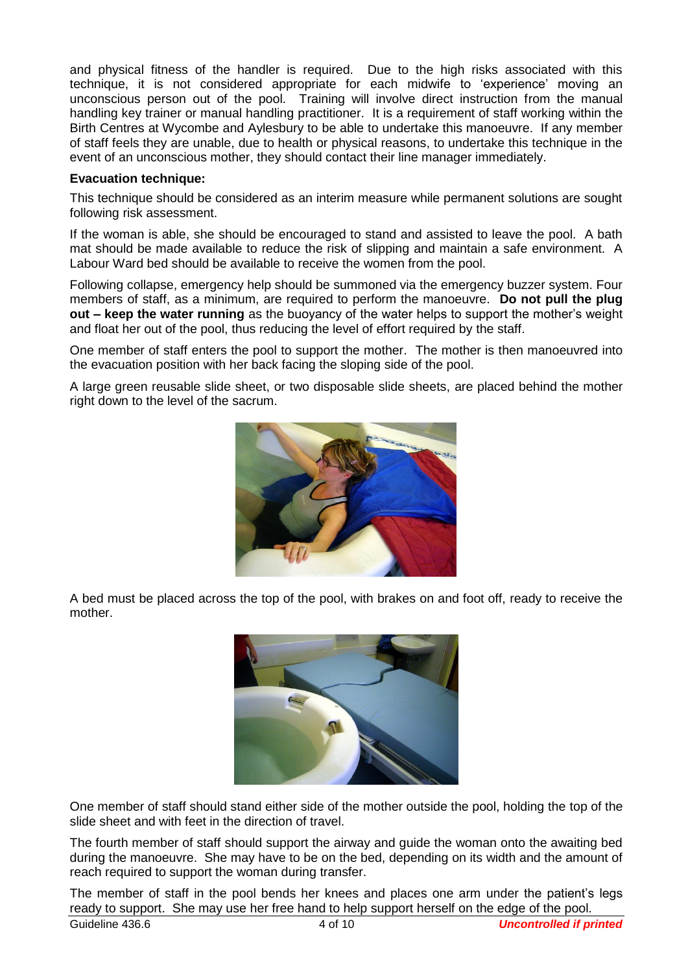and physical fitness of the handler is required. Due to the high risks associated with this technique, it is not considered appropriate for each midwife to 'experience' moving an unconscious person out of the pool. Training will involve direct instruction from the manual handling key trainer or manual handling practitioner. It is a requirement of staff working within the Birth Centres at Wycombe and Aylesbury to be able to undertake this manoeuvre. If any member of staff feels they are unable, due to health or physical reasons, to undertake this technique in the event of an unconscious mother, they should contact their line manager immediately.

#### **Evacuation technique:**

This technique should be considered as an interim measure while permanent solutions are sought following risk assessment.

If the woman is able, she should be encouraged to stand and assisted to leave the pool. A bath mat should be made available to reduce the risk of slipping and maintain a safe environment. A Labour Ward bed should be available to receive the women from the pool.

Following collapse, emergency help should be summoned via the emergency buzzer system. Four members of staff, as a minimum, are required to perform the manoeuvre. **Do not pull the plug out – keep the water running** as the buoyancy of the water helps to support the mother"s weight and float her out of the pool, thus reducing the level of effort required by the staff.

One member of staff enters the pool to support the mother. The mother is then manoeuvred into the evacuation position with her back facing the sloping side of the pool.

A large green reusable slide sheet, or two disposable slide sheets, are placed behind the mother right down to the level of the sacrum.



A bed must be placed across the top of the pool, with brakes on and foot off, ready to receive the mother.



One member of staff should stand either side of the mother outside the pool, holding the top of the slide sheet and with feet in the direction of travel.

The fourth member of staff should support the airway and guide the woman onto the awaiting bed during the manoeuvre. She may have to be on the bed, depending on its width and the amount of reach required to support the woman during transfer.

The member of staff in the pool bends her knees and places one arm under the patient"s legs ready to support. She may use her free hand to help support herself on the edge of the pool.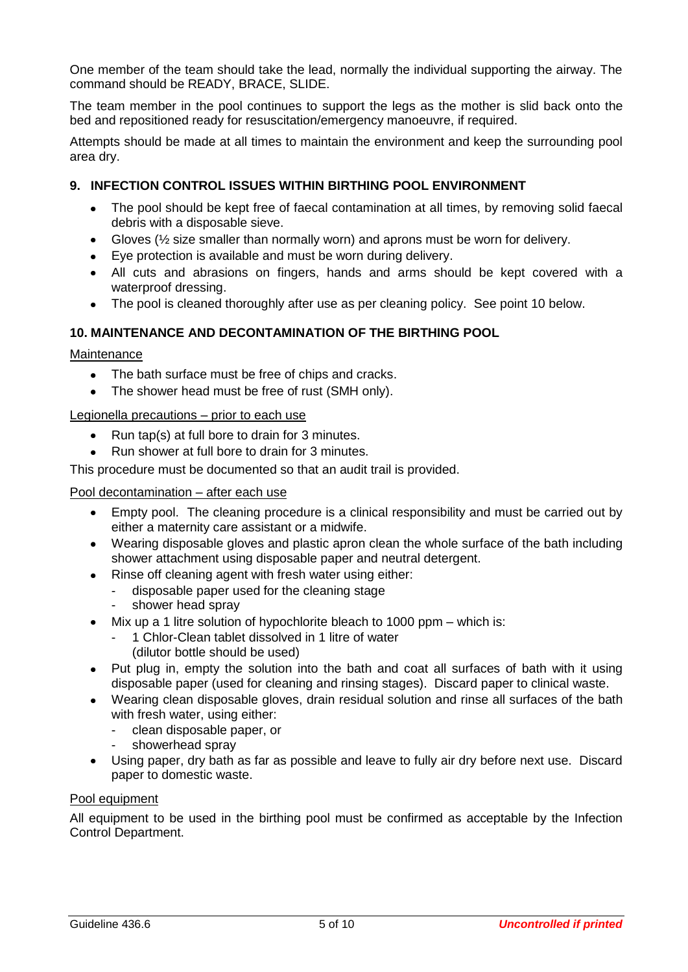One member of the team should take the lead, normally the individual supporting the airway. The command should be READY, BRACE, SLIDE.

The team member in the pool continues to support the legs as the mother is slid back onto the bed and repositioned ready for resuscitation/emergency manoeuvre, if required.

Attempts should be made at all times to maintain the environment and keep the surrounding pool area dry.

## <span id="page-4-0"></span>**9. INFECTION CONTROL ISSUES WITHIN BIRTHING POOL ENVIRONMENT**

- The pool should be kept free of faecal contamination at all times, by removing solid faecal debris with a disposable sieve.
- Gloves  $\frac{1}{2}$  size smaller than normally worn) and aprons must be worn for delivery.
- Eye protection is available and must be worn during delivery.
- All cuts and abrasions on fingers, hands and arms should be kept covered with a waterproof dressing.
- The pool is cleaned thoroughly after use as per cleaning policy. See point 10 below.

## <span id="page-4-1"></span>**10. MAINTENANCE AND DECONTAMINATION OF THE BIRTHING POOL**

#### Maintenance

- The bath surface must be free of chips and cracks.
- The shower head must be free of rust (SMH only).  $\bullet$

#### Legionella precautions – prior to each use

- Run tap(s) at full bore to drain for 3 minutes.  $\bullet$
- Run shower at full bore to drain for 3 minutes.

This procedure must be documented so that an audit trail is provided.

#### Pool decontamination – after each use

- Empty pool. The cleaning procedure is a clinical responsibility and must be carried out by either a maternity care assistant or a midwife.
- Wearing disposable gloves and plastic apron clean the whole surface of the bath including shower attachment using disposable paper and neutral detergent.
- Rinse off cleaning agent with fresh water using either:
	- disposable paper used for the cleaning stage
	- shower head spray
- Mix up a 1 litre solution of hypochlorite bleach to 1000 ppm which is:
	- 1 Chlor-Clean tablet dissolved in 1 litre of water
		- (dilutor bottle should be used)
- Put plug in, empty the solution into the bath and coat all surfaces of bath with it using disposable paper (used for cleaning and rinsing stages). Discard paper to clinical waste.
- Wearing clean disposable gloves, drain residual solution and rinse all surfaces of the bath with fresh water, using either:
	- clean disposable paper, or
	- showerhead spray
- Using paper, dry bath as far as possible and leave to fully air dry before next use. Discard paper to domestic waste.

#### Pool equipment

All equipment to be used in the birthing pool must be confirmed as acceptable by the Infection Control Department.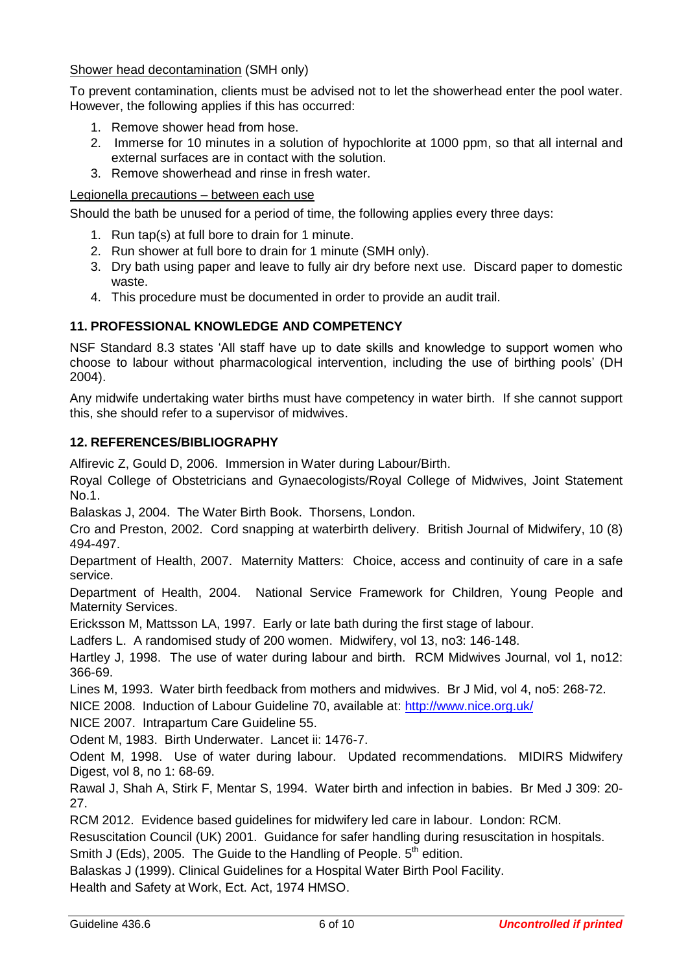# Shower head decontamination (SMH only)

To prevent contamination, clients must be advised not to let the showerhead enter the pool water. However, the following applies if this has occurred:

- 1. Remove shower head from hose.
- 2. Immerse for 10 minutes in a solution of hypochlorite at 1000 ppm, so that all internal and external surfaces are in contact with the solution.
- 3. Remove showerhead and rinse in fresh water.

## Legionella precautions – between each use

Should the bath be unused for a period of time, the following applies every three days:

- 1. Run tap(s) at full bore to drain for 1 minute.
- 2. Run shower at full bore to drain for 1 minute (SMH only).
- 3. Dry bath using paper and leave to fully air dry before next use. Discard paper to domestic waste.
- 4. This procedure must be documented in order to provide an audit trail.

# <span id="page-5-0"></span>**11. PROFESSIONAL KNOWLEDGE AND COMPETENCY**

NSF Standard 8.3 states "All staff have up to date skills and knowledge to support women who choose to labour without pharmacological intervention, including the use of birthing pools" (DH 2004).

Any midwife undertaking water births must have competency in water birth. If she cannot support this, she should refer to a supervisor of midwives.

## <span id="page-5-1"></span>**12. REFERENCES/BIBLIOGRAPHY**

Alfirevic Z, Gould D, 2006. Immersion in Water during Labour/Birth.

Royal College of Obstetricians and Gynaecologists/Royal College of Midwives, Joint Statement No.1.

Balaskas J, 2004. The Water Birth Book. Thorsens, London.

Cro and Preston, 2002. Cord snapping at waterbirth delivery. British Journal of Midwifery, 10 (8) 494-497.

Department of Health, 2007. Maternity Matters: Choice, access and continuity of care in a safe service.

Department of Health, 2004. National Service Framework for Children, Young People and Maternity Services.

Ericksson M, Mattsson LA, 1997. Early or late bath during the first stage of labour.

Ladfers L. A randomised study of 200 women. Midwifery, vol 13, no3: 146-148.

Hartley J, 1998. The use of water during labour and birth. RCM Midwives Journal, vol 1, no12: 366-69.

Lines M, 1993. Water birth feedback from mothers and midwives. Br J Mid, vol 4, no5: 268-72.

NICE 2008. Induction of Labour Guideline 70, available at:<http://www.nice.org.uk/>

NICE 2007. Intrapartum Care Guideline 55.

Odent M, 1983. Birth Underwater. Lancet ii: 1476-7.

Odent M, 1998. Use of water during labour. Updated recommendations. MIDIRS Midwifery Digest, vol 8, no 1: 68-69.

Rawal J, Shah A, Stirk F, Mentar S, 1994. Water birth and infection in babies. Br Med J 309: 20- 27.

RCM 2012. Evidence based guidelines for midwifery led care in labour. London: RCM.

Resuscitation Council (UK) 2001. Guidance for safer handling during resuscitation in hospitals. Smith J (Eds), 2005. The Guide to the Handling of People.  $5<sup>th</sup>$  edition.

Balaskas J (1999). Clinical Guidelines for a Hospital Water Birth Pool Facility.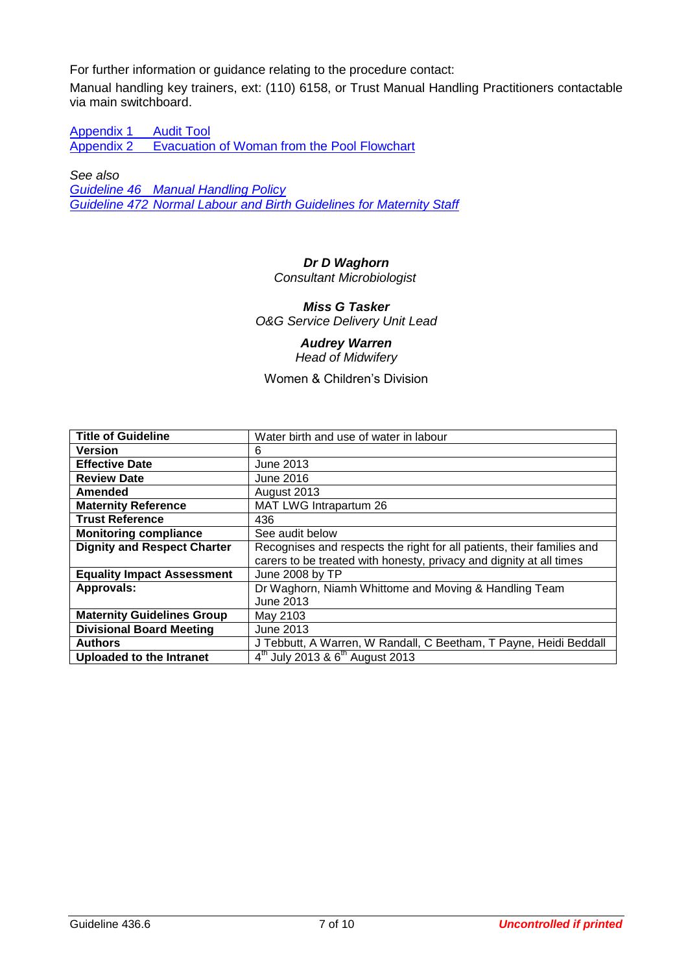For further information or guidance relating to the procedure contact:

Manual handling key trainers, ext: (110) 6158, or Trust Manual Handling Practitioners contactable via main switchboard.

[Appendix 1](#page-7-0) Audit Tool<br>Appendix 2 Evacuation [Evacuation of Woman from the Pool Flowchart](#page-9-1)

*See also*

*Guideline 46 [Manual Handling Policy](http://swanlive/sites/default/files/guideline_46.pdf) Guideline 472 [Normal Labour and Birth Guidelines for Maternity Staff](http://swanlive/sites/default/files/guideline_472.pdf)*

# *Dr D Waghorn*

*Consultant Microbiologist*

*Miss G Tasker O&G Service Delivery Unit Lead*

#### *Audrey Warren Head of Midwifery*

Women & Children"s Division

| <b>Title of Guideline</b>          | Water birth and use of water in labour                                 |
|------------------------------------|------------------------------------------------------------------------|
| <b>Version</b>                     | 6                                                                      |
| <b>Effective Date</b>              | June 2013                                                              |
| <b>Review Date</b>                 | June 2016                                                              |
| Amended                            | August 2013                                                            |
| <b>Maternity Reference</b>         | MAT LWG Intrapartum 26                                                 |
| <b>Trust Reference</b>             | 436                                                                    |
| <b>Monitoring compliance</b>       | See audit below                                                        |
| <b>Dignity and Respect Charter</b> | Recognises and respects the right for all patients, their families and |
|                                    | carers to be treated with honesty, privacy and dignity at all times    |
| <b>Equality Impact Assessment</b>  | June 2008 by TP                                                        |
| Approvals:                         | Dr Waghorn, Niamh Whittome and Moving & Handling Team                  |
|                                    | <b>June 2013</b>                                                       |
| <b>Maternity Guidelines Group</b>  | May 2103                                                               |
| <b>Divisional Board Meeting</b>    | June 2013                                                              |
| <b>Authors</b>                     | J Tebbutt, A Warren, W Randall, C Beetham, T Payne, Heidi Beddall      |
| <b>Uploaded to the Intranet</b>    | $4^{th}$ July 2013 & $6^{th}$ August 2013                              |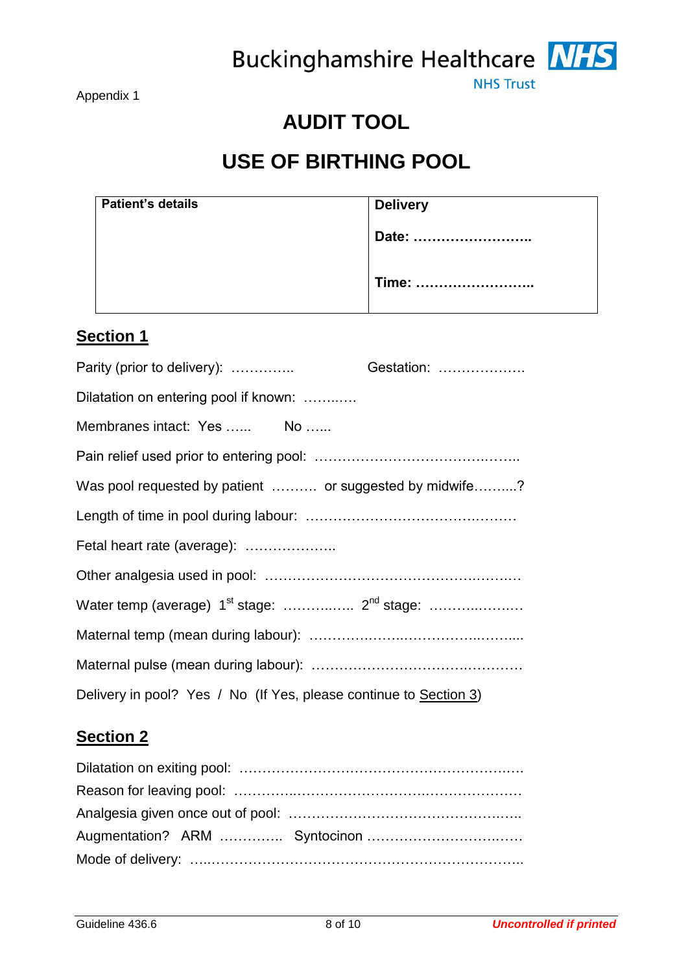Buckinghamshire Healthcare NHS



**NHS Trust** 

# **AUDIT TOOL**

# **USE OF BIRTHING POOL**

<span id="page-7-0"></span>

| <b>Patient's details</b> | <b>Delivery</b> |
|--------------------------|-----------------|
|                          | Date:           |
|                          | Time:           |

# **Section 1**

| Parity (prior to delivery):                                       | Gestation: |  |  |  |
|-------------------------------------------------------------------|------------|--|--|--|
| Dilatation on entering pool if known:                             |            |  |  |  |
| Membranes intact: Yes  No                                         |            |  |  |  |
|                                                                   |            |  |  |  |
| Was pool requested by patient  or suggested by midwife?           |            |  |  |  |
|                                                                   |            |  |  |  |
| Fetal heart rate (average):                                       |            |  |  |  |
|                                                                   |            |  |  |  |
|                                                                   |            |  |  |  |
|                                                                   |            |  |  |  |
|                                                                   |            |  |  |  |
| Delivery in pool? Yes / No (If Yes, please continue to Section 3) |            |  |  |  |

# **Section 2**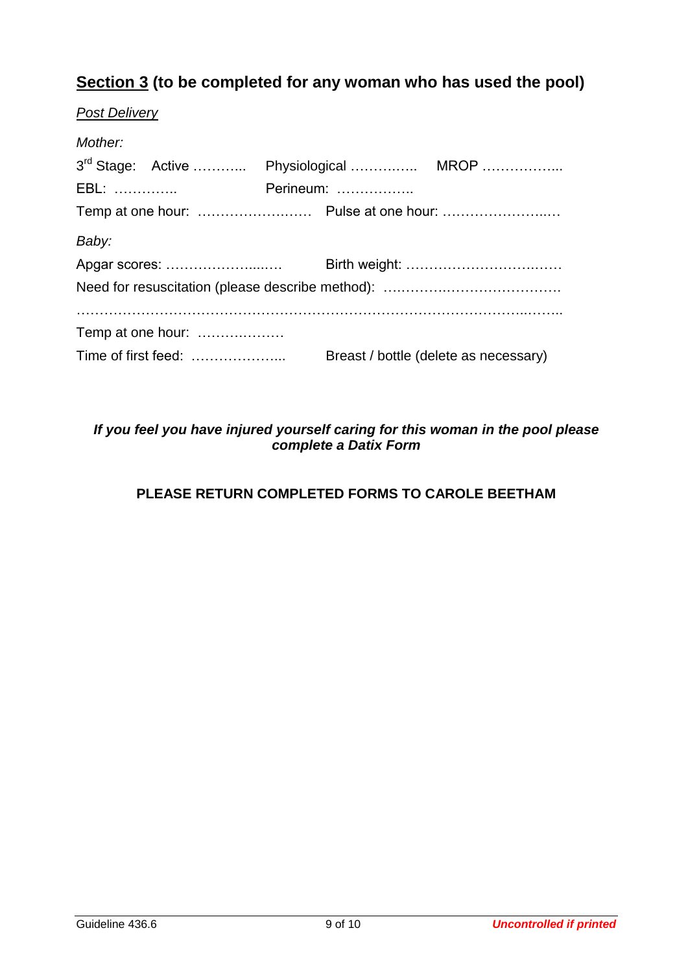# **Section 3 (to be completed for any woman who has used the pool)**

| <b>Post Delivery</b> |                                                    |  |  |  |  |
|----------------------|----------------------------------------------------|--|--|--|--|
| Mother:              |                                                    |  |  |  |  |
|                      | 3 <sup>rd</sup> Stage: Active  Physiological  MROP |  |  |  |  |
| <b>EBL:</b>          | Perineum:                                          |  |  |  |  |
|                      |                                                    |  |  |  |  |
| Baby:                |                                                    |  |  |  |  |
|                      |                                                    |  |  |  |  |
|                      |                                                    |  |  |  |  |
|                      |                                                    |  |  |  |  |
| Temp at one hour:    |                                                    |  |  |  |  |
|                      | Breast / bottle (delete as necessary)              |  |  |  |  |

# *If you feel you have injured yourself caring for this woman in the pool please complete a Datix Form*

# **PLEASE RETURN COMPLETED FORMS TO CAROLE BEETHAM**